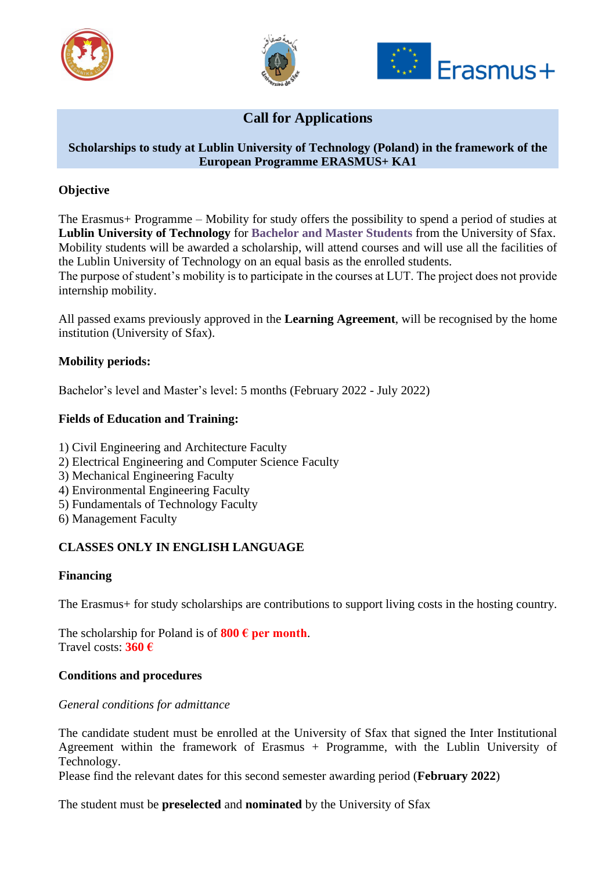





# **Call for Applications**

## **Scholarships to study at Lublin University of Technology (Poland) in the framework of the European Programme ERASMUS+ KA1**

## **Objective**

The Erasmus+ Programme – Mobility for study offers the possibility to spend a period of studies at **Lublin University of Technology** for **Bachelor and Master Students** from the University of Sfax. Mobility students will be awarded a scholarship, will attend courses and will use all the facilities of the Lublin University of Technology on an equal basis as the enrolled students.

The purpose of student's mobility is to participate in the courses at LUT. The project does not provide internship mobility.

All passed exams previously approved in the **Learning Agreement**, will be recognised by the home institution (University of Sfax).

### **Mobility periods:**

Bachelor's level and Master's level: 5 months (February 2022 - July 2022)

### **Fields of Education and Training:**

- 1) Civil Engineering and Architecture Faculty
- 2) Electrical Engineering and Computer Science Faculty
- 3) Mechanical Engineering Faculty
- 4) Environmental Engineering Faculty
- 5) Fundamentals of Technology Faculty
- 6) Management Faculty

### **CLASSES ONLY IN ENGLISH LANGUAGE**

### **Financing**

The Erasmus+ for study scholarships are contributions to support living costs in the hosting country.

The scholarship for Poland is of  $800 \text{ } \in \text{per month.}$ Travel costs: **360 €**

### **Conditions and procedures**

#### *General conditions for admittance*

The candidate student must be enrolled at the University of Sfax that signed the Inter Institutional Agreement within the framework of Erasmus + Programme, with the Lublin University of Technology.

Please find the relevant dates for this second semester awarding period (**February 2022**)

The student must be **preselected** and **nominated** by the University of Sfax